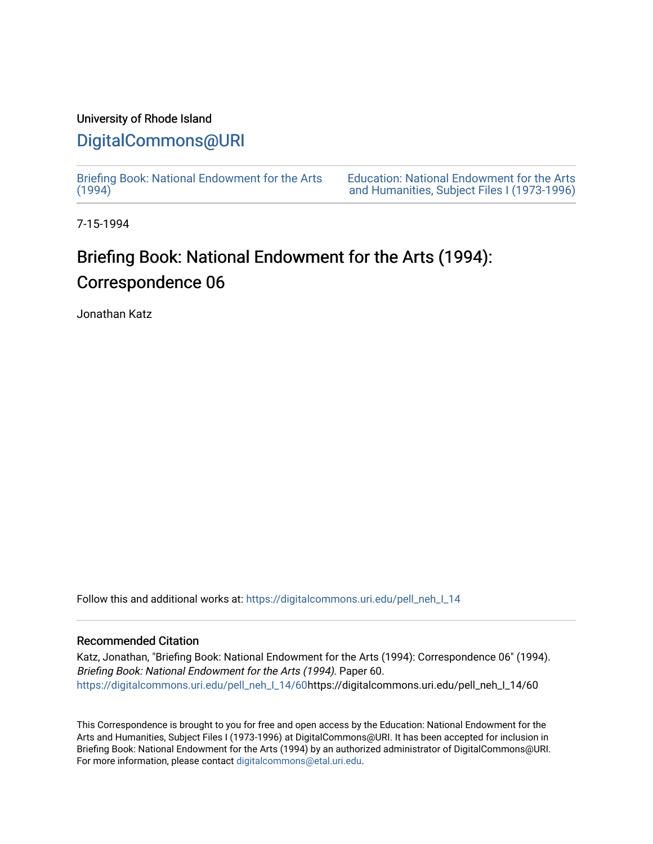## University of Rhode Island

## [DigitalCommons@URI](https://digitalcommons.uri.edu/)

[Briefing Book: National Endowment for the Arts](https://digitalcommons.uri.edu/pell_neh_I_14)  $(1994)$ 

[Education: National Endowment for the Arts](https://digitalcommons.uri.edu/pell_neh_I)  [and Humanities, Subject Files I \(1973-1996\)](https://digitalcommons.uri.edu/pell_neh_I) 

7-15-1994

## Briefing Book: National Endowment for the Arts (1994): Correspondence 06

Jonathan Katz

Follow this and additional works at: [https://digitalcommons.uri.edu/pell\\_neh\\_I\\_14](https://digitalcommons.uri.edu/pell_neh_I_14?utm_source=digitalcommons.uri.edu%2Fpell_neh_I_14%2F60&utm_medium=PDF&utm_campaign=PDFCoverPages) 

## Recommended Citation

Katz, Jonathan, "Briefing Book: National Endowment for the Arts (1994): Correspondence 06" (1994). Briefing Book: National Endowment for the Arts (1994). Paper 60. [https://digitalcommons.uri.edu/pell\\_neh\\_I\\_14/60h](https://digitalcommons.uri.edu/pell_neh_I_14/60?utm_source=digitalcommons.uri.edu%2Fpell_neh_I_14%2F60&utm_medium=PDF&utm_campaign=PDFCoverPages)ttps://digitalcommons.uri.edu/pell\_neh\_I\_14/60

This Correspondence is brought to you for free and open access by the Education: National Endowment for the Arts and Humanities, Subject Files I (1973-1996) at DigitalCommons@URI. It has been accepted for inclusion in Briefing Book: National Endowment for the Arts (1994) by an authorized administrator of DigitalCommons@URI. For more information, please contact [digitalcommons@etal.uri.edu](mailto:digitalcommons@etal.uri.edu).